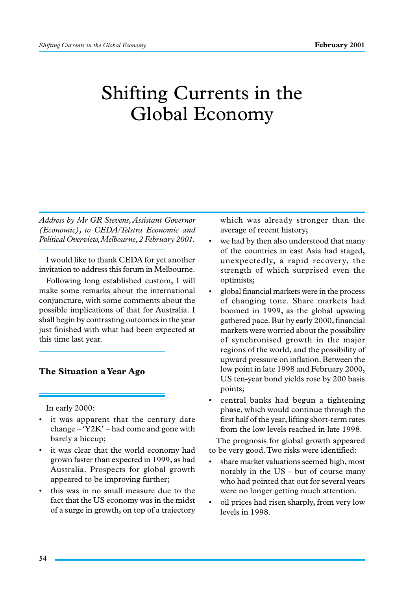# Shifting Currents in the Global Economy

*Address by Mr GR Stevens, Assistant Governor (Economic), to CEDA/Telstra Economic and Political Overview, Melbourne, 2 February 2001.*

I would like to thank CEDA for yet another invitation to address this forum in Melbourne.

Following long established custom, I will make some remarks about the international conjuncture, with some comments about the possible implications of that for Australia. I shall begin by contrasting outcomes in the year just finished with what had been expected at this time last year.

# **The Situation a Year Ago**

In early 2000:

- it was apparent that the century date change  $-Y2K'$  – had come and gone with barely a hiccup;
- it was clear that the world economy had grown faster than expected in 1999, as had Australia. Prospects for global growth appeared to be improving further;
- this was in no small measure due to the fact that the US economy was in the midst of a surge in growth, on top of a trajectory

which was already stronger than the average of recent history;

- we had by then also understood that many of the countries in east Asia had staged, unexpectedly, a rapid recovery, the strength of which surprised even the optimists;
- global financial markets were in the process of changing tone. Share markets had boomed in 1999, as the global upswing gathered pace. But by early 2000, financial markets were worried about the possibility of synchronised growth in the major regions of the world, and the possibility of upward pressure on inflation. Between the low point in late 1998 and February 2000, US ten-year bond yields rose by 200 basis points;
- central banks had begun a tightening phase, which would continue through the first half of the year, lifting short-term rates from the low levels reached in late 1998.

The prognosis for global growth appeared to be very good. Two risks were identified:

- share market valuations seemed high, most notably in the  $US - but$  of course many who had pointed that out for several years were no longer getting much attention.
- oil prices had risen sharply, from very low levels in 1998.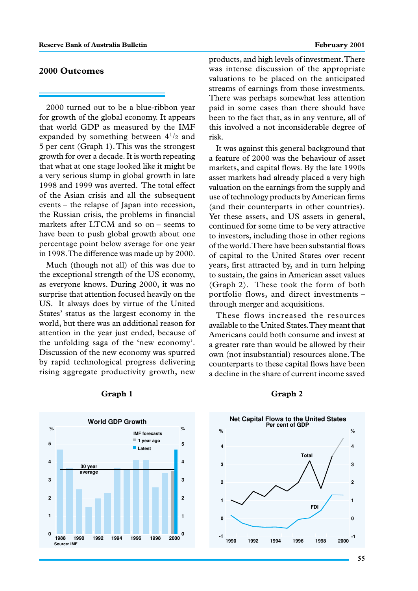# **2000 Outcomes**

2000 turned out to be a blue-ribbon year for growth of the global economy. It appears that world GDP as measured by the IMF expanded by something between  $4^{1/2}$  and 5 per cent (Graph 1). This was the strongest growth for over a decade. It is worth repeating that what at one stage looked like it might be a very serious slump in global growth in late 1998 and 1999 was averted. The total effect of the Asian crisis and all the subsequent events – the relapse of Japan into recession, the Russian crisis, the problems in financial markets after LTCM and so on – seems to have been to push global growth about one percentage point below average for one year in 1998. The difference was made up by 2000.

Much (though not all) of this was due to the exceptional strength of the US economy, as everyone knows. During 2000, it was no surprise that attention focused heavily on the US. It always does by virtue of the United States' status as the largest economy in the world, but there was an additional reason for attention in the year just ended, because of the unfolding saga of the 'new economy'. Discussion of the new economy was spurred by rapid technological progress delivering rising aggregate productivity growth, new products, and high levels of investment. There was intense discussion of the appropriate valuations to be placed on the anticipated streams of earnings from those investments. There was perhaps somewhat less attention paid in some cases than there should have been to the fact that, as in any venture, all of this involved a not inconsiderable degree of risk.

It was against this general background that a feature of 2000 was the behaviour of asset markets, and capital flows. By the late 1990s asset markets had already placed a very high valuation on the earnings from the supply and use of technology products by American firms (and their counterparts in other countries). Yet these assets, and US assets in general, continued for some time to be very attractive to investors, including those in other regions of the world. There have been substantial flows of capital to the United States over recent years, first attracted by, and in turn helping to sustain, the gains in American asset values (Graph 2). These took the form of both portfolio flows, and direct investments – through merger and acquisitions.

These flows increased the resources available to the United States. They meant that Americans could both consume and invest at a greater rate than would be allowed by their own (not insubstantial) resources alone. The counterparts to these capital flows have been a decline in the share of current income saved





#### **Graph 1 Graph 2**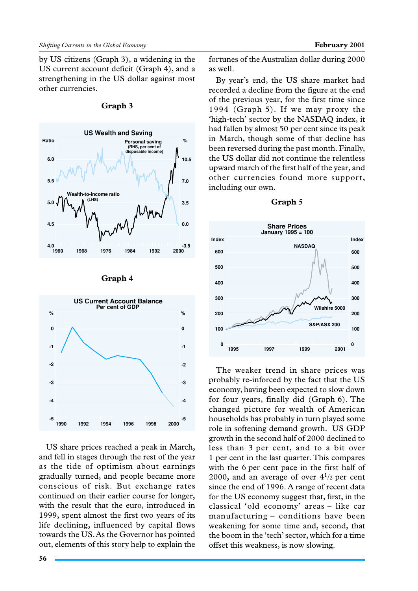by US citizens (Graph 3), a widening in the US current account deficit (Graph 4), and a strengthening in the US dollar against most other currencies.



**Graph 3**



**Graph 4**

US share prices reached a peak in March, and fell in stages through the rest of the year as the tide of optimism about earnings gradually turned, and people became more conscious of risk. But exchange rates continued on their earlier course for longer, with the result that the euro, introduced in 1999, spent almost the first two years of its life declining, influenced by capital flows towards the US. As the Governor has pointed out, elements of this story help to explain the

fortunes of the Australian dollar during 2000 as well.

By year's end, the US share market had recorded a decline from the figure at the end of the previous year, for the first time since 1994 (Graph 5). If we may proxy the 'high-tech' sector by the NASDAQ index, it had fallen by almost 50 per cent since its peak in March, though some of that decline has been reversed during the past month. Finally, the US dollar did not continue the relentless upward march of the first half of the year, and other currencies found more support, including our own.



The weaker trend in share prices was probably re-inforced by the fact that the US economy, having been expected to slow down for four years, finally did (Graph 6). The changed picture for wealth of American households has probably in turn played some role in softening demand growth. US GDP growth in the second half of 2000 declined to less than 3 per cent, and to a bit over 1 per cent in the last quarter. This compares with the 6 per cent pace in the first half of 2000, and an average of over  $4^{1/2}$  per cent since the end of 1996. A range of recent data for the US economy suggest that, first, in the classical 'old economy' areas – like car manufacturing – conditions have been weakening for some time and, second, that the boom in the 'tech' sector, which for a time offset this weakness, is now slowing.

# **Graph 5**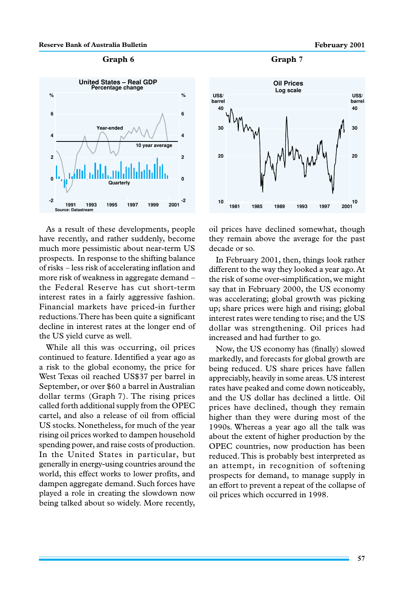### **Graph 6 Graph 7**



As a result of these developments, people have recently, and rather suddenly, become much more pessimistic about near-term US prospects. In response to the shifting balance of risks – less risk of accelerating inflation and more risk of weakness in aggregate demand – the Federal Reserve has cut short-term interest rates in a fairly aggressive fashion. Financial markets have priced-in further reductions. There has been quite a significant decline in interest rates at the longer end of the US yield curve as well.

While all this was occurring, oil prices continued to feature. Identified a year ago as a risk to the global economy, the price for West Texas oil reached US\$37 per barrel in September, or over \$60 a barrel in Australian dollar terms (Graph 7). The rising prices called forth additional supply from the OPEC cartel, and also a release of oil from official US stocks. Nonetheless, for much of the year rising oil prices worked to dampen household spending power, and raise costs of production. In the United States in particular, but generally in energy-using countries around the world, this effect works to lower profits, and dampen aggregate demand. Such forces have played a role in creating the slowdown now being talked about so widely. More recently,



oil prices have declined somewhat, though they remain above the average for the past decade or so.

In February 2001, then, things look rather different to the way they looked a year ago. At the risk of some over-simplification, we might say that in February 2000, the US economy was accelerating; global growth was picking up; share prices were high and rising; global interest rates were tending to rise; and the US dollar was strengthening. Oil prices had increased and had further to go.

Now, the US economy has (finally) slowed markedly, and forecasts for global growth are being reduced. US share prices have fallen appreciably, heavily in some areas. US interest rates have peaked and come down noticeably, and the US dollar has declined a little. Oil prices have declined, though they remain higher than they were during most of the 1990s. Whereas a year ago all the talk was about the extent of higher production by the OPEC countries, now production has been reduced. This is probably best interpreted as an attempt, in recognition of softening prospects for demand, to manage supply in an effort to prevent a repeat of the collapse of oil prices which occurred in 1998.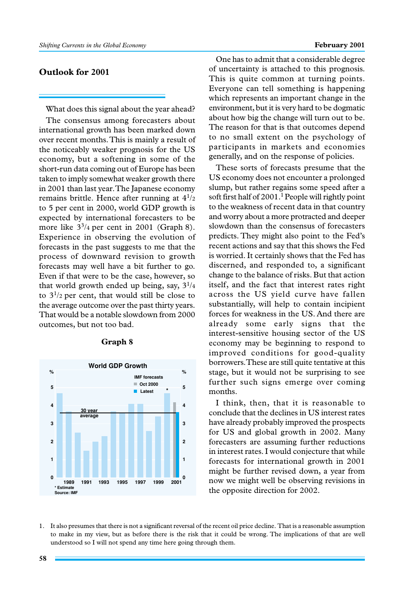# **Outlook for 2001**

What does this signal about the year ahead? The consensus among forecasters about international growth has been marked down over recent months. This is mainly a result of the noticeably weaker prognosis for the US economy, but a softening in some of the short-run data coming out of Europe has been taken to imply somewhat weaker growth there in 2001 than last year. The Japanese economy remains brittle. Hence after running at  $4^{1/2}$ to 5 per cent in 2000, world GDP growth is expected by international forecasters to be more like  $3^{3}/_{4}$  per cent in 2001 (Graph 8). Experience in observing the evolution of forecasts in the past suggests to me that the process of downward revision to growth forecasts may well have a bit further to go. Even if that were to be the case, however, so that world growth ended up being, say,  $3^{1/4}$ to  $3^{1/2}$  per cent, that would still be close to the average outcome over the past thirty years. That would be a notable slowdown from 2000 outcomes, but not too bad.

![](_page_4_Figure_4.jpeg)

#### **Graph 8**

One has to admit that a considerable degree of uncertainty is attached to this prognosis. This is quite common at turning points. Everyone can tell something is happening which represents an important change in the environment, but it is very hard to be dogmatic about how big the change will turn out to be. The reason for that is that outcomes depend to no small extent on the psychology of participants in markets and economies generally, and on the response of policies.

These sorts of forecasts presume that the US economy does not encounter a prolonged slump, but rather regains some speed after a soft first half of  $2001$ .<sup>1</sup> People will rightly point to the weakness of recent data in that country and worry about a more protracted and deeper slowdown than the consensus of forecasters predicts. They might also point to the Fed's recent actions and say that this shows the Fed is worried. It certainly shows that the Fed has discerned, and responded to, a significant change to the balance of risks. But that action itself, and the fact that interest rates right across the US yield curve have fallen substantially, will help to contain incipient forces for weakness in the US. And there are already some early signs that the interest-sensitive housing sector of the US economy may be beginning to respond to improved conditions for good-quality borrowers. These are still quite tentative at this stage, but it would not be surprising to see further such signs emerge over coming months.

I think, then, that it is reasonable to conclude that the declines in US interest rates have already probably improved the prospects for US and global growth in 2002. Many forecasters are assuming further reductions in interest rates. I would conjecture that while forecasts for international growth in 2001 might be further revised down, a year from now we might well be observing revisions in the opposite direction for 2002.

1. It also presumes that there is not a significant reversal of the recent oil price decline. That is a reasonable assumption to make in my view, but as before there is the risk that it could be wrong. The implications of that are well understood so I will not spend any time here going through them.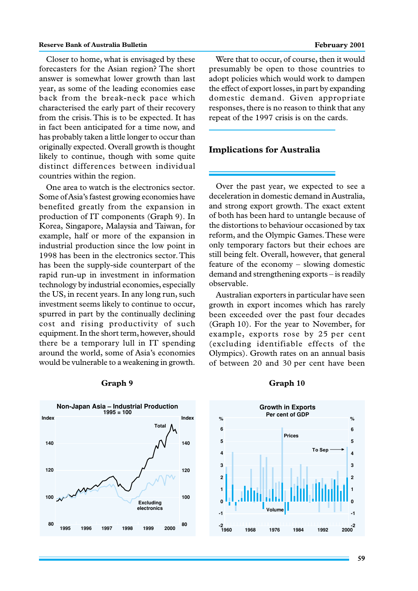### **Reserve Bank of Australia Bulletin February 2001 February 2001**

Closer to home, what is envisaged by these forecasters for the Asian region? The short answer is somewhat lower growth than last year, as some of the leading economies ease back from the break-neck pace which characterised the early part of their recovery from the crisis. This is to be expected. It has in fact been anticipated for a time now, and has probably taken a little longer to occur than originally expected. Overall growth is thought likely to continue, though with some quite distinct differences between individual countries within the region.

One area to watch is the electronics sector. Some of Asia's fastest growing economies have benefited greatly from the expansion in production of IT components (Graph 9). In Korea, Singapore, Malaysia and Taiwan, for example, half or more of the expansion in industrial production since the low point in 1998 has been in the electronics sector. This has been the supply-side counterpart of the rapid run-up in investment in information technology by industrial economies, especially the US, in recent years. In any long run, such investment seems likely to continue to occur, spurred in part by the continually declining cost and rising productivity of such equipment. In the short term, however, should there be a temporary lull in IT spending around the world, some of Asia's economies would be vulnerable to a weakening in growth.

Were that to occur, of course, then it would presumably be open to those countries to adopt policies which would work to dampen the effect of export losses, in part by expanding domestic demand. Given appropriate responses, there is no reason to think that any repeat of the 1997 crisis is on the cards.

# **Implications for Australia**

Over the past year, we expected to see a deceleration in domestic demand in Australia, and strong export growth. The exact extent of both has been hard to untangle because of the distortions to behaviour occasioned by tax reform, and the Olympic Games. These were only temporary factors but their echoes are still being felt. Overall, however, that general feature of the economy – slowing domestic demand and strengthening exports – is readily observable.

Australian exporters in particular have seen growth in export incomes which has rarely been exceeded over the past four decades (Graph 10). For the year to November, for example, exports rose by 25 per cent (excluding identifiable effects of the Olympics). Growth rates on an annual basis of between 20 and 30 per cent have been

![](_page_5_Figure_8.jpeg)

#### **Graph 9 Graph 10**

![](_page_5_Figure_11.jpeg)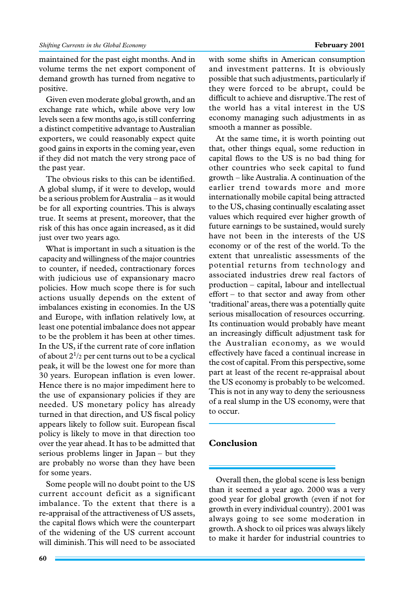maintained for the past eight months. And in volume terms the net export component of demand growth has turned from negative to positive.

Given even moderate global growth, and an exchange rate which, while above very low levels seen a few months ago, is still conferring a distinct competitive advantage to Australian exporters, we could reasonably expect quite good gains in exports in the coming year, even if they did not match the very strong pace of the past year.

The obvious risks to this can be identified. A global slump, if it were to develop, would be a serious problem for Australia – as it would be for all exporting countries. This is always true. It seems at present, moreover, that the risk of this has once again increased, as it did just over two years ago.

What is important in such a situation is the capacity and willingness of the major countries to counter, if needed, contractionary forces with judicious use of expansionary macro policies. How much scope there is for such actions usually depends on the extent of imbalances existing in economies. In the US and Europe, with inflation relatively low, at least one potential imbalance does not appear to be the problem it has been at other times. In the US, if the current rate of core inflation of about  $2^{1/2}$  per cent turns out to be a cyclical peak, it will be the lowest one for more than 30 years. European inflation is even lower. Hence there is no major impediment here to the use of expansionary policies if they are needed. US monetary policy has already turned in that direction, and US fiscal policy appears likely to follow suit. European fiscal policy is likely to move in that direction too over the year ahead. It has to be admitted that serious problems linger in Japan – but they are probably no worse than they have been for some years.

Some people will no doubt point to the US current account deficit as a significant imbalance. To the extent that there is a re-appraisal of the attractiveness of US assets, the capital flows which were the counterpart of the widening of the US current account will diminish. This will need to be associated

with some shifts in American consumption and investment patterns. It is obviously possible that such adjustments, particularly if they were forced to be abrupt, could be difficult to achieve and disruptive. The rest of the world has a vital interest in the US economy managing such adjustments in as smooth a manner as possible.

At the same time, it is worth pointing out that, other things equal, some reduction in capital flows to the US is no bad thing for other countries who seek capital to fund growth – like Australia. A continuation of the earlier trend towards more and more internationally mobile capital being attracted to the US, chasing continually escalating asset values which required ever higher growth of future earnings to be sustained, would surely have not been in the interests of the US economy or of the rest of the world. To the extent that unrealistic assessments of the potential returns from technology and associated industries drew real factors of production – capital, labour and intellectual effort – to that sector and away from other 'traditional' areas, there was a potentially quite serious misallocation of resources occurring. Its continuation would probably have meant an increasingly difficult adjustment task for the Australian economy, as we would effectively have faced a continual increase in the cost of capital. From this perspective, some part at least of the recent re-appraisal about the US economy is probably to be welcomed. This is not in any way to deny the seriousness of a real slump in the US economy, were that to occur.

# **Conclusion**

Overall then, the global scene is less benign than it seemed a year ago. 2000 was a very good year for global growth (even if not for growth in every individual country). 2001 was always going to see some moderation in growth. A shock to oil prices was always likely to make it harder for industrial countries to